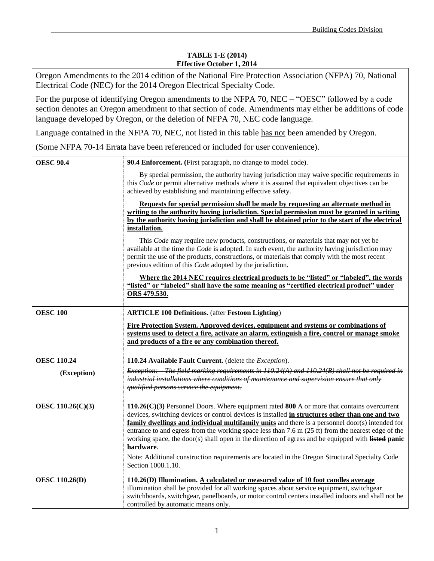## **TABLE 1-E (2014) Effective October 1, 2014**

Oregon Amendments to the 2014 edition of the National Fire Protection Association (NFPA) 70, National Electrical Code (NEC) for the 2014 Oregon Electrical Specialty Code.

For the purpose of identifying Oregon amendments to the NFPA 70, NEC – "OESC" followed by a code section denotes an Oregon amendment to that section of code. Amendments may either be additions of code language developed by Oregon, or the deletion of NFPA 70, NEC code language.

Language contained in the NFPA 70, NEC, not listed in this table has not been amended by Oregon.

(Some NFPA 70-14 Errata have been referenced or included for user convenience).

| <b>OESC 90.4</b>      | 90.4 Enforcement. (First paragraph, no change to model code).                                                                                                                                                                                                                                                                                                                                                                                                                                                                                                                                                                                                                      |
|-----------------------|------------------------------------------------------------------------------------------------------------------------------------------------------------------------------------------------------------------------------------------------------------------------------------------------------------------------------------------------------------------------------------------------------------------------------------------------------------------------------------------------------------------------------------------------------------------------------------------------------------------------------------------------------------------------------------|
|                       | By special permission, the authority having jurisdiction may waive specific requirements in<br>this <i>Code</i> or permit alternative methods where it is assured that equivalent objectives can be<br>achieved by establishing and maintaining effective safety.                                                                                                                                                                                                                                                                                                                                                                                                                  |
|                       | Requests for special permission shall be made by requesting an alternate method in<br>writing to the authority having jurisdiction. Special permission must be granted in writing<br>by the authority having jurisdiction and shall be obtained prior to the start of the electrical<br>installation.<br>This <i>Code</i> may require new products, constructions, or materials that may not yet be<br>available at the time the <i>Code</i> is adopted. In such event, the authority having jurisdiction may<br>permit the use of the products, constructions, or materials that comply with the most recent<br>previous edition of this <i>Code</i> adopted by the jurisdiction. |
|                       | <u>Where the 2014 NEC requires electrical products to be "listed" or "labeled", the words</u><br>"listed" or "labeled" shall have the same meaning as "certified electrical product" under<br>ORS 479.530.                                                                                                                                                                                                                                                                                                                                                                                                                                                                         |
| <b>OESC 100</b>       | <b>ARTICLE 100 Definitions.</b> (after Festoon Lighting)<br>Fire Protection System. Approved devices, equipment and systems or combinations of<br>systems used to detect a fire, activate an alarm, extinguish a fire, control or manage smoke<br>and products of a fire or any combination thereof.                                                                                                                                                                                                                                                                                                                                                                               |
| <b>OESC 110.24</b>    | 110.24 Available Fault Current. (delete the Exception).                                                                                                                                                                                                                                                                                                                                                                                                                                                                                                                                                                                                                            |
| (Exception)           | Exception: The field marking requirements in $110.24(A)$ and $110.24(B)$ shall not be required in<br>industrial installations where conditions of maintenance and supervision ensure that only<br>qualified persons service the equipment.                                                                                                                                                                                                                                                                                                                                                                                                                                         |
| OESC 110.26(C)(3)     | 110.26(C)(3) Personnel Doors. Where equipment rated 800 A or more that contains overcurrent<br>devices, switching devices or control devices is installed in structures other than one and two<br>family dwellings and individual multifamily units and there is a personnel door(s) intended for<br>entrance to and egress from the working space less than $7.6$ m $(25 \text{ ft})$ from the nearest edge of the<br>working space, the door(s) shall open in the direction of egress and be equipped with listed panic<br>hardware.<br>Note: Additional construction requirements are located in the Oregon Structural Specialty Code                                           |
|                       | Section 1008.1.10.                                                                                                                                                                                                                                                                                                                                                                                                                                                                                                                                                                                                                                                                 |
| <b>OESC 110.26(D)</b> | 110.26(D) Illumination. A calculated or measured value of 10 foot candles average<br>illumination shall be provided for all working spaces about service equipment, switchgear<br>switchboards, switchgear, panelboards, or motor control centers installed indoors and shall not be<br>controlled by automatic means only.                                                                                                                                                                                                                                                                                                                                                        |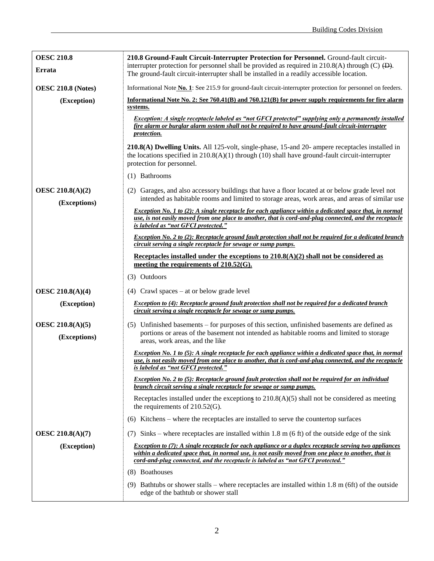| <b>OESC 210.8</b>                       | 210.8 Ground-Fault Circuit-Interrupter Protection for Personnel. Ground-fault circuit-                                                                                                                                                                                                                   |
|-----------------------------------------|----------------------------------------------------------------------------------------------------------------------------------------------------------------------------------------------------------------------------------------------------------------------------------------------------------|
| Errata                                  | interrupter protection for personnel shall be provided as required in 210.8(A) through (C) $\overline{(D)}$ .<br>The ground-fault circuit-interrupter shall be installed in a readily accessible location.                                                                                               |
| <b>OESC 210.8 (Notes)</b>               | Informational Note No. 1: See 215.9 for ground-fault circuit-interrupter protection for personnel on feeders.                                                                                                                                                                                            |
| (Exception)                             | Informational Note No. 2: See 760.41(B) and 760.121(B) for power supply requirements for fire alarm<br>systems.                                                                                                                                                                                          |
|                                         | Exception: A single receptacle labeled as "not GFCI protected" supplying only a permanently installed<br>fire alarm or burglar alarm system shall not be required to have ground-fault circuit-interrupter<br><i>protection.</i>                                                                         |
|                                         | 210.8(A) Dwelling Units. All 125-volt, single-phase, 15-and 20- ampere receptacles installed in<br>the locations specified in $210.8(A)(1)$ through (10) shall have ground-fault circuit-interrupter<br>protection for personnel.                                                                        |
|                                         | (1) Bathrooms                                                                                                                                                                                                                                                                                            |
| <b>OESC 210.8(A)(2)</b><br>(Exceptions) | (2) Garages, and also accessory buildings that have a floor located at or below grade level not<br>intended as habitable rooms and limited to storage areas, work areas, and areas of similar use                                                                                                        |
|                                         | Exception No. 1 to (2): A single receptacle for each appliance within a dedicated space that, in normal<br>use, is not easily moved from one place to another, that is cord-and-plug connected, and the receptacle<br>is labeled as "not GFCI protected."                                                |
|                                         | Exception No. 2 to (2): Receptacle ground fault protection shall not be required for a dedicated branch                                                                                                                                                                                                  |
|                                         | circuit serving a single receptacle for sewage or sump pumps.                                                                                                                                                                                                                                            |
|                                         | Receptacles installed under the exceptions to $210.8(A)(2)$ shall not be considered as<br>meeting the requirements of $210.52(G)$ .                                                                                                                                                                      |
|                                         | (3) Outdoors                                                                                                                                                                                                                                                                                             |
|                                         |                                                                                                                                                                                                                                                                                                          |
| <b>OESC 210.8(A)(4)</b>                 | $(4)$ Crawl spaces – at or below grade level<br><i>Exception to (4): Receptacle ground fault protection shall not be required for a dedicated branch</i>                                                                                                                                                 |
| (Exception)                             | circuit serving a single receptacle for sewage or sump pumps.                                                                                                                                                                                                                                            |
| <b>OESC 210.8(A)(5)</b><br>(Exceptions) | (5) Unfinished basements – for purposes of this section, unfinished basements are defined as<br>portions or areas of the basement not intended as habitable rooms and limited to storage<br>areas, work areas, and the like                                                                              |
|                                         | Exception No. 1 to (5): A single receptacle for each appliance within a dedicated space that, in normal<br>use, is not easily moved from one place to another, that is cord-and-plug connected, and the receptacle<br>is labeled as "not GFCI protected."                                                |
|                                         | <i>Exception No. 2 to (5): Receptacle ground fault protection shall not be required for an individual</i><br>branch circuit serving a single receptacle for sewage or sump pumps.                                                                                                                        |
|                                         | Receptacles installed under the exceptions to $210.8(A)(5)$ shall not be considered as meeting<br>the requirements of $210.52(G)$ .                                                                                                                                                                      |
|                                         | (6) Kitchens – where the receptacles are installed to serve the countertop surfaces                                                                                                                                                                                                                      |
| <b>OESC 210.8(A)(7)</b>                 | (7) Sinks – where receptacles are installed within 1.8 m (6 ft) of the outside edge of the sink                                                                                                                                                                                                          |
| (Exception)                             | <b>Exception to (7): A single receptacle for each appliance or a duplex receptacle serving two appliances</b><br>within a dedicated space that, in normal use, is not easily moved from one place to another, that is<br>cord-and-plug connected, and the receptacle is labeled as "not GFCI protected." |
|                                         | (8) Boathouses                                                                                                                                                                                                                                                                                           |
|                                         | (9) Bathtubs or shower stalls – where receptacles are installed within 1.8 m (6ft) of the outside<br>edge of the bathtub or shower stall                                                                                                                                                                 |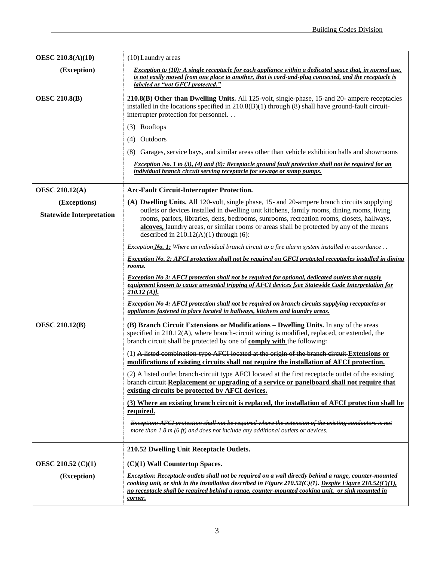| <b>OESC 210.8(A)(10)</b>        | $(10)$ Laundry areas                                                                                                                                                                                                                                                                                                              |
|---------------------------------|-----------------------------------------------------------------------------------------------------------------------------------------------------------------------------------------------------------------------------------------------------------------------------------------------------------------------------------|
| (Exception)                     | Exception to (10): A single receptacle for each appliance within a dedicated space that, in normal use,<br>is not easily moved from one place to another, that is cord-and-plug connected, and the receptacle is<br>labeled as "not GFCI protected."                                                                              |
| <b>OESC 210.8(B)</b>            | 210.8(B) Other than Dwelling Units. All 125-volt, single-phase, 15-and 20- ampere receptacles<br>installed in the locations specified in $210.8(B)(1)$ through (8) shall have ground-fault circuit-<br>interrupter protection for personnel                                                                                       |
|                                 | (3) Rooftops                                                                                                                                                                                                                                                                                                                      |
|                                 | (4) Outdoors                                                                                                                                                                                                                                                                                                                      |
|                                 | (8) Garages, service bays, and similar areas other than vehicle exhibition halls and showrooms                                                                                                                                                                                                                                    |
|                                 | <i>Exception No. 1 to (3), (4) and (8): Receptacle ground fault protection shall not be required for an</i><br>individual branch circuit serving receptacle for sewage or sump pumps.                                                                                                                                             |
| <b>OESC 210.12(A)</b>           | <b>Arc-Fault Circuit-Interrupter Protection.</b>                                                                                                                                                                                                                                                                                  |
| (Exceptions)                    | (A) Dwelling Units. All 120-volt, single phase, 15- and 20-ampere branch circuits supplying                                                                                                                                                                                                                                       |
| <b>Statewide Interpretation</b> | outlets or devices installed in dwelling unit kitchens, family rooms, dining rooms, living<br>rooms, parlors, libraries, dens, bedrooms, sunrooms, recreation rooms, closets, hallways,                                                                                                                                           |
|                                 | alcoves, laundry areas, or similar rooms or areas shall be protected by any of the means<br>described in $210.12(A)(1)$ through (6):                                                                                                                                                                                              |
|                                 | Exception <b>No. 1:</b> Where an individual branch circuit to a fire alarm system installed in accordance $\ldots$                                                                                                                                                                                                                |
|                                 | <b>Exception No. 2: AFCI protection shall not be required on GFCI protected receptacles installed in dining</b><br>rooms.                                                                                                                                                                                                         |
|                                 | <b>Exception No 3: AFCI protection shall not be required for optional, dedicated outlets that supply</b><br>equipment known to cause unwanted tripping of AFCI devices [see Statewide Code Interpretation for<br>$210.12(A)$ .                                                                                                    |
|                                 | Exception No 4: AFCI protection shall not be required on branch circuits supplying receptacles or<br>appliances fastened in place located in hallways, kitchens and laundry areas.                                                                                                                                                |
| <b>OESC 210.12(B)</b>           | (B) Branch Circuit Extensions or Modifications - Dwelling Units. In any of the areas<br>specified in 210.12(A), where branch-circuit wiring is modified, replaced, or extended, the<br>branch circuit shall be protected by one of comply with the following:                                                                     |
|                                 | $(1)$ A listed combination type AFCI located at the origin of the branch circuit Extensions or<br>modifications of existing circuits shall not require the installation of AFCI protection.                                                                                                                                       |
|                                 | (2) A listed outlet branch circuit type AFCI located at the first receptacle outlet of the existing<br>branch circuit-Replacement or upgrading of a service or panelboard shall not require that<br>existing circuits be protected by AFCI devices.                                                                               |
|                                 | (3) Where an existing branch circuit is replaced, the installation of AFCI protection shall be<br><u>required.</u>                                                                                                                                                                                                                |
|                                 | <b>Exception: AFCI protection shall not be required where the extension of the existing conductors is not</b><br>more than 1.8 m (6 ft) and does not include any additional outlets or devices.                                                                                                                                   |
|                                 | 210.52 Dwelling Unit Receptacle Outlets.                                                                                                                                                                                                                                                                                          |
| OESC 210.52 (C)(1)              | (C)(1) Wall Countertop Spaces.                                                                                                                                                                                                                                                                                                    |
| (Exception)                     | Exception: Receptacle outlets shall not be required on a wall directly behind a range, counter-mounted<br>cooking unit, or sink in the installation described in Figure 210.52(C)(1). Despite Figure 210.52(C)(1),<br>no receptacle shall be required behind a range, counter-mounted cooking unit, or sink mounted in<br>corner. |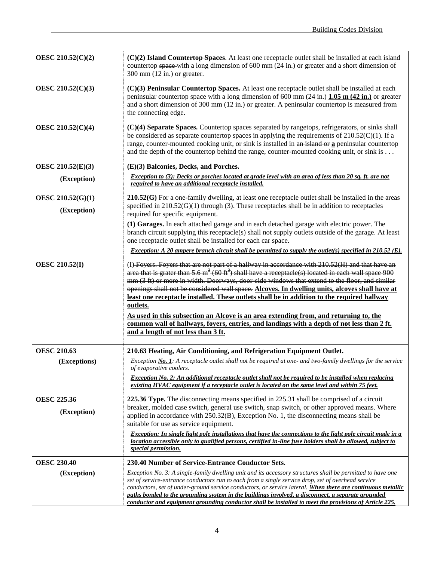| OESC 210.52(C)(2)                | $(C)(2)$ Island Countertop-Spaces. At least one receptacle outlet shall be installed at each island<br>countertop space-with a long dimension of $600 \text{ mm}$ (24 in.) or greater and a short dimension of<br>300 mm $(12 \text{ in.})$ or greater.                                                                                                                                                                  |
|----------------------------------|--------------------------------------------------------------------------------------------------------------------------------------------------------------------------------------------------------------------------------------------------------------------------------------------------------------------------------------------------------------------------------------------------------------------------|
| OESC 210.52(C)(3)                | (C)(3) Peninsular Countertop Spaces. At least one receptacle outlet shall be installed at each<br>peninsular countertop space with a long dimension of $600 \text{ mm}$ (24 in.) 1.05 m (42 in.) or greater<br>and a short dimension of $300 \text{ mm}$ (12 in.) or greater. A peninsular countertop is measured from<br>the connecting edge.                                                                           |
| OESC 210.52(C)(4)                | (C)(4) Separate Spaces. Countertop spaces separated by rangetops, refrigerators, or sinks shall<br>be considered as separate countertop spaces in applying the requirements of $210.52(C)(1)$ . If a<br>range, counter-mounted cooking unit, or sink is installed in an island or a peninsular countertop<br>and the depth of the countertop behind the range, counter-mounted cooking unit, or sink is                  |
| OESC 210.52(E)(3)                | (E)(3) Balconies, Decks, and Porches.                                                                                                                                                                                                                                                                                                                                                                                    |
| (Exception)                      | Exception to (3): Decks or porches located at grade level with an area of less than 20 sq. ft. are not<br>required to have an additional receptacle installed.                                                                                                                                                                                                                                                           |
| OESC 210.52(G)(1)<br>(Exception) | $210.52(G)$ For a one-family dwelling, at least one receptacle outlet shall be installed in the areas<br>specified in $210.52(G)(1)$ through (3). These receptacles shall be in addition to receptacles<br>required for specific equipment.                                                                                                                                                                              |
|                                  | (1) Garages. In each attached garage and in each detached garage with electric power. The<br>branch circuit supplying this receptacle(s) shall not supply outlets outside of the garage. At least<br>one receptacle outlet shall be installed for each car space.                                                                                                                                                        |
|                                  | <i>Exception: A 20 ampere branch circuit shall be permitted to supply the outlet(s) specified in 210.52 (E).</i>                                                                                                                                                                                                                                                                                                         |
| <b>OESC 210.52(I)</b>            | (I) Foyers. Foyers that are not part of a hallway in accordance with 210.52(H) and that have an<br>area that is grater than 5.6 $m^2$ (60 ft <sup>2</sup> ) shall have a receptacle(s) located in each wall space 900<br>mm (3 ft) or more in width. Doorways, door side windows that extend to the floor, and similar<br>openings shall not be considered wall space. Alcoves. In dwelling units, alcoves shall have at |
|                                  | least one receptacle installed. These outlets shall be in addition to the required hallway<br>outlets.                                                                                                                                                                                                                                                                                                                   |
|                                  | As used in this subsection an Alcove is an area extending from, and returning to, the                                                                                                                                                                                                                                                                                                                                    |
|                                  | common wall of hallways, foyers, entries, and landings with a depth of not less than 2 ft.<br>and a length of not less than 3 ft.                                                                                                                                                                                                                                                                                        |
| <b>OESC 210.63</b>               | 210.63 Heating, Air Conditioning, and Refrigeration Equipment Outlet.                                                                                                                                                                                                                                                                                                                                                    |
| (Exceptions)                     | Exception No. 1: A receptacle outlet shall not be required at one- and two-family dwellings for the service<br>of evaporative coolers.                                                                                                                                                                                                                                                                                   |
|                                  | <b>Exception No. 2: An additional receptacle outlet shall not be required to be installed when replacing</b><br>existing HVAC equipment if a receptacle outlet is located on the same level and within 75 feet.                                                                                                                                                                                                          |
| <b>OESC 225.36</b>               | 225.36 Type. The disconnecting means specified in 225.31 shall be comprised of a circuit                                                                                                                                                                                                                                                                                                                                 |
| (Exception)                      | breaker, molded case switch, general use switch, snap switch, or other approved means. Where<br>applied in accordance with $250.32(B)$ , Exception No. 1, the disconnecting means shall be<br>suitable for use as service equipment.                                                                                                                                                                                     |
|                                  | Exception: In single light pole installations that have the connections to the light pole circuit made in a<br>location accessible only to qualified persons, certified in-line fuse holders shall be allowed, subject to<br>special permission.                                                                                                                                                                         |
| <b>OESC 230.40</b>               | 230.40 Number of Service-Entrance Conductor Sets.                                                                                                                                                                                                                                                                                                                                                                        |
| (Exception)                      | Exception No. 3: A single-family dwelling unit and its accessory structures shall be permitted to have one                                                                                                                                                                                                                                                                                                               |
|                                  | set of service-entrance conductors run to each from a single service drop, set of overhead service<br>conductors, set of under-ground service conductors, or service lateral. When there are continuous metallic                                                                                                                                                                                                         |
|                                  | paths bonded to the grounding system in the buildings involved, a disconnect, a separate grounded<br>conductor and equipment grounding conductor shall be installed to meet the provisions of Article 225.                                                                                                                                                                                                               |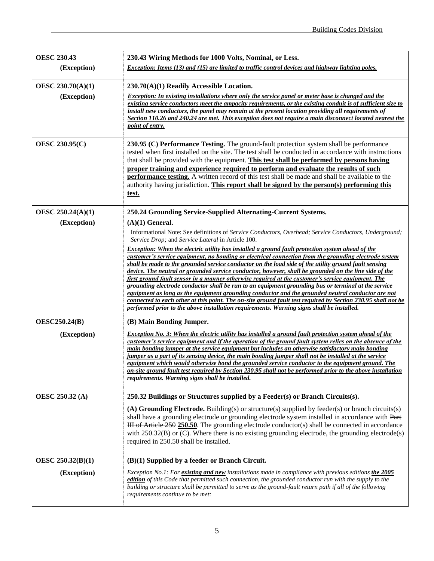| <b>OESC 230.43</b>       | 230.43 Wiring Methods for 1000 Volts, Nominal, or Less.                                                                                                                                                                                                                                                                                                                                                                                                                                                                                                                                                                                                                                                                                                                                                                                                                                                                                                  |
|--------------------------|----------------------------------------------------------------------------------------------------------------------------------------------------------------------------------------------------------------------------------------------------------------------------------------------------------------------------------------------------------------------------------------------------------------------------------------------------------------------------------------------------------------------------------------------------------------------------------------------------------------------------------------------------------------------------------------------------------------------------------------------------------------------------------------------------------------------------------------------------------------------------------------------------------------------------------------------------------|
| (Exception)              | Exception: Items (13) and (15) are limited to traffic control devices and highway lighting poles.                                                                                                                                                                                                                                                                                                                                                                                                                                                                                                                                                                                                                                                                                                                                                                                                                                                        |
| OESC 230.70(A)(1)        | 230.70(A)(1) Readily Accessible Location.                                                                                                                                                                                                                                                                                                                                                                                                                                                                                                                                                                                                                                                                                                                                                                                                                                                                                                                |
| (Exception)              | <b>Exception:</b> In existing installations where only the service panel or meter base is changed and the<br>existing service conductors meet the ampacity requirements, or the existing conduit is of sufficient size to<br>install new conductors, the panel may remain at the present location providing all requirements of<br>Section 110.26 and 240.24 are met. This exception does not require a main disconnect located nearest the<br>point of entry.                                                                                                                                                                                                                                                                                                                                                                                                                                                                                           |
| <b>OESC 230.95(C)</b>    | 230.95 (C) Performance Testing. The ground-fault protection system shall be performance<br>tested when first installed on the site. The test shall be conducted in accordance with instructions<br>that shall be provided with the equipment. This test shall be performed by persons having<br>proper training and experience required to perform and evaluate the results of such<br><b>performance testing.</b> A written record of this test shall be made and shall be available to the<br>authority having jurisdiction. This report shall be signed by the person(s) performing this<br>test.                                                                                                                                                                                                                                                                                                                                                     |
| OESC 250.24(A)(1)        | 250.24 Grounding Service-Supplied Alternating-Current Systems.                                                                                                                                                                                                                                                                                                                                                                                                                                                                                                                                                                                                                                                                                                                                                                                                                                                                                           |
| (Exception)              | $(A)(1)$ General.<br>Informational Note: See definitions of Service Conductors, Overhead; Service Conductors, Underground;<br>Service Drop; and Service Lateral in Article 100.                                                                                                                                                                                                                                                                                                                                                                                                                                                                                                                                                                                                                                                                                                                                                                          |
|                          | Exception: When the electric utility has installed a ground fault protection system ahead of the<br>customer's service equipment, no bonding or electrical connection from the grounding electrode system<br>shall be made to the grounded service conductor on the load side of the utility ground fault sensing<br>device. The neutral or grounded service conductor, however, shall be grounded on the line side of the<br>first ground fault sensor in a manner otherwise required at the customer's service equipment. The<br>grounding electrode conductor shall be run to an equipment grounding bus or terminal at the service<br>equipment as long as the equipment grounding conductor and the grounded neutral conductor are not<br>connected to each other at this point. The on-site ground fault test required by Section 230.95 shall not be<br>performed prior to the above installation requirements. Warning signs shall be installed. |
| <b>OESC250.24(B)</b>     | (B) Main Bonding Jumper.                                                                                                                                                                                                                                                                                                                                                                                                                                                                                                                                                                                                                                                                                                                                                                                                                                                                                                                                 |
| (Exception)              | <b>Exception No. 3: When the electric utility has installed a ground fault protection system ahead of the</b><br>customer's service equipment and if the operation of the ground fault system relies on the absence of the<br>main bonding jumper at the service equipment but includes an otherwise satisfactory main bonding<br>jumper as a part of its sensing device, the main bonding jumper shall not be installed at the service<br>equipment which would otherwise bond the grounded service conductor to the equipment ground. The<br>on-site ground fault test required by Section 230.95 shall not be performed prior to the above installation<br>requirements. Warning signs shall be installed.                                                                                                                                                                                                                                            |
| <b>OESC 250.32 (A)</b>   | 250.32 Buildings or Structures supplied by a Feeder(s) or Branch Circuits(s).                                                                                                                                                                                                                                                                                                                                                                                                                                                                                                                                                                                                                                                                                                                                                                                                                                                                            |
|                          | (A) Grounding Electrode. Building(s) or structure(s) supplied by feeder(s) or branch circuits(s)<br>shall have a grounding electrode or grounding electrode system installed in accordance with Part<br><b>HI</b> of Article 250 250.50. The grounding electrode conductor(s) shall be connected in accordance<br>with $250.32(B)$ or (C). Where there is no existing grounding electrode, the grounding electrode(s)<br>required in 250.50 shall be installed.                                                                                                                                                                                                                                                                                                                                                                                                                                                                                          |
| <b>OESC 250.32(B)(1)</b> | $(B)(1)$ Supplied by a feeder or Branch Circuit.                                                                                                                                                                                                                                                                                                                                                                                                                                                                                                                                                                                                                                                                                                                                                                                                                                                                                                         |
| (Exception)              | Exception No.1: For existing and new installations made in compliance with previous editions the 2005<br>edition of this Code that permitted such connection, the grounded conductor run with the supply to the<br>building or structure shall be permitted to serve as the ground-fault return path if all of the following<br>requirements continue to be met:                                                                                                                                                                                                                                                                                                                                                                                                                                                                                                                                                                                         |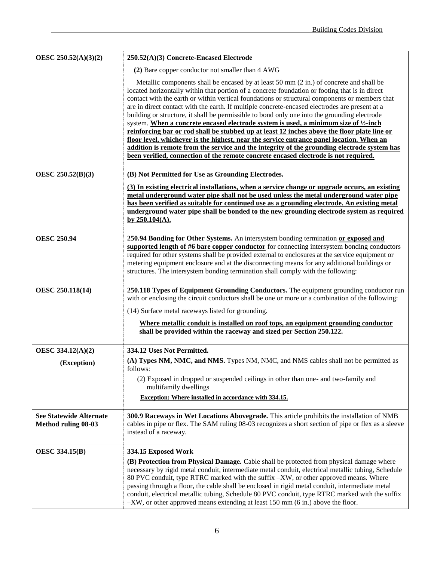| OESC 250.52(A)(3)(2)                                         | 250.52(A)(3) Concrete-Encased Electrode                                                                                                                                                                                                                                                                                                                                                                                                                                                                                                                                                                                                                                                                                                                                                                                                                                                                                                                                |
|--------------------------------------------------------------|------------------------------------------------------------------------------------------------------------------------------------------------------------------------------------------------------------------------------------------------------------------------------------------------------------------------------------------------------------------------------------------------------------------------------------------------------------------------------------------------------------------------------------------------------------------------------------------------------------------------------------------------------------------------------------------------------------------------------------------------------------------------------------------------------------------------------------------------------------------------------------------------------------------------------------------------------------------------|
|                                                              | (2) Bare copper conductor not smaller than 4 AWG                                                                                                                                                                                                                                                                                                                                                                                                                                                                                                                                                                                                                                                                                                                                                                                                                                                                                                                       |
|                                                              | Metallic components shall be encased by at least 50 mm (2 in.) of concrete and shall be<br>located horizontally within that portion of a concrete foundation or footing that is in direct<br>contact with the earth or within vertical foundations or structural components or members that<br>are in direct contact with the earth. If multiple concrete-encased electrodes are present at a<br>building or structure, it shall be permissible to bond only one into the grounding electrode<br>system. When a concrete encased electrode system is used, a minimum size of 1/2-inch<br>reinforcing bar or rod shall be stubbed up at least 12 inches above the floor plate line or<br>floor level, whichever is the highest, near the service entrance panel location. When an<br>addition is remote from the service and the integrity of the grounding electrode system has<br>been verified, connection of the remote concrete encased electrode is not required. |
| OESC 250.52(B)(3)                                            | (B) Not Permitted for Use as Grounding Electrodes.<br>(3) In existing electrical installations, when a service change or upgrade occurs, an existing                                                                                                                                                                                                                                                                                                                                                                                                                                                                                                                                                                                                                                                                                                                                                                                                                   |
|                                                              | metal underground water pipe shall not be used unless the metal underground water pipe<br>has been verified as suitable for continued use as a grounding electrode. An existing metal                                                                                                                                                                                                                                                                                                                                                                                                                                                                                                                                                                                                                                                                                                                                                                                  |
|                                                              | <u>underground water pipe shall be bonded to the new grounding electrode system as required</u>                                                                                                                                                                                                                                                                                                                                                                                                                                                                                                                                                                                                                                                                                                                                                                                                                                                                        |
|                                                              | by $250.104(A)$ .                                                                                                                                                                                                                                                                                                                                                                                                                                                                                                                                                                                                                                                                                                                                                                                                                                                                                                                                                      |
| <b>OESC 250.94</b>                                           | 250.94 Bonding for Other Systems. An intersystem bonding termination or exposed and<br>supported length of #6 bare copper conductor for connecting intersystem bonding conductors<br>required for other systems shall be provided external to enclosures at the service equipment or                                                                                                                                                                                                                                                                                                                                                                                                                                                                                                                                                                                                                                                                                   |
|                                                              | metering equipment enclosure and at the disconnecting means for any additional buildings or<br>structures. The intersystem bonding termination shall comply with the following:                                                                                                                                                                                                                                                                                                                                                                                                                                                                                                                                                                                                                                                                                                                                                                                        |
| OESC 250.118(14)                                             | 250.118 Types of Equipment Grounding Conductors. The equipment grounding conductor run<br>with or enclosing the circuit conductors shall be one or more or a combination of the following:                                                                                                                                                                                                                                                                                                                                                                                                                                                                                                                                                                                                                                                                                                                                                                             |
|                                                              | (14) Surface metal raceways listed for grounding.                                                                                                                                                                                                                                                                                                                                                                                                                                                                                                                                                                                                                                                                                                                                                                                                                                                                                                                      |
|                                                              | <u>Where metallic conduit is installed on roof tops, an equipment grounding conductor</u><br>shall be provided within the raceway and sized per Section 250.122.                                                                                                                                                                                                                                                                                                                                                                                                                                                                                                                                                                                                                                                                                                                                                                                                       |
| OESC 334.12(A)(2)                                            | 334.12 Uses Not Permitted.                                                                                                                                                                                                                                                                                                                                                                                                                                                                                                                                                                                                                                                                                                                                                                                                                                                                                                                                             |
| (Exception)                                                  | (A) Types NM, NMC, and NMS. Types NM, NMC, and NMS cables shall not be permitted as<br>follows:                                                                                                                                                                                                                                                                                                                                                                                                                                                                                                                                                                                                                                                                                                                                                                                                                                                                        |
|                                                              | (2) Exposed in dropped or suspended ceilings in other than one- and two-family and<br>multifamily dwellings                                                                                                                                                                                                                                                                                                                                                                                                                                                                                                                                                                                                                                                                                                                                                                                                                                                            |
|                                                              | <b>Exception:</b> Where installed in accordance with 334.15.                                                                                                                                                                                                                                                                                                                                                                                                                                                                                                                                                                                                                                                                                                                                                                                                                                                                                                           |
| <b>See Statewide Alternate</b><br><b>Method ruling 08-03</b> | 300.9 Raceways in Wet Locations Abovegrade. This article prohibits the installation of NMB<br>cables in pipe or flex. The SAM ruling 08-03 recognizes a short section of pipe or flex as a sleeve<br>instead of a raceway.                                                                                                                                                                                                                                                                                                                                                                                                                                                                                                                                                                                                                                                                                                                                             |
| <b>OESC 334.15(B)</b>                                        | 334.15 Exposed Work                                                                                                                                                                                                                                                                                                                                                                                                                                                                                                                                                                                                                                                                                                                                                                                                                                                                                                                                                    |
|                                                              | (B) Protection from Physical Damage. Cable shall be protected from physical damage where<br>necessary by rigid metal conduit, intermediate metal conduit, electrical metallic tubing, Schedule<br>80 PVC conduit, type RTRC marked with the suffix -XW, or other approved means. Where<br>passing through a floor, the cable shall be enclosed in rigid metal conduit, intermediate metal<br>conduit, electrical metallic tubing, Schedule 80 PVC conduit, type RTRC marked with the suffix<br>-XW, or other approved means extending at least 150 mm (6 in.) above the floor.                                                                                                                                                                                                                                                                                                                                                                                         |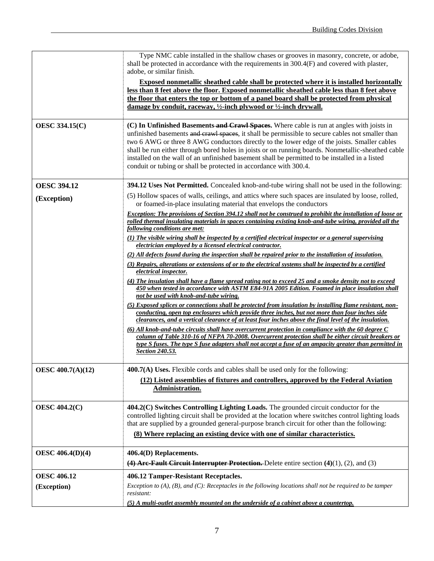|                          | Type NMC cable installed in the shallow chases or grooves in masonry, concrete, or adobe,<br>shall be protected in accordance with the requirements in 300.4(F) and covered with plaster,<br>adobe, or similar finish.<br><b>Exposed nonmetallic sheathed cable shall be protected where it is installed horizontally</b><br>less than 8 feet above the floor. Exposed nonmetallic sheathed cable less than 8 feet above<br>the floor that enters the top or bottom of a panel board shall be protected from physical<br>damage by conduit, raceway, $\frac{1}{2}$ -inch plywood or $\frac{1}{2}$ -inch drywall. |
|--------------------------|------------------------------------------------------------------------------------------------------------------------------------------------------------------------------------------------------------------------------------------------------------------------------------------------------------------------------------------------------------------------------------------------------------------------------------------------------------------------------------------------------------------------------------------------------------------------------------------------------------------|
| <b>OESC 334.15(C)</b>    | (C) In Unfinished Basements and Crawl Spaces. Where cable is run at angles with joists in<br>unfinished basements and crawl spaces, it shall be permissible to secure cables not smaller than<br>two 6 AWG or three 8 AWG conductors directly to the lower edge of the joists. Smaller cables<br>shall be run either through bored holes in joists or on running boards. Nonmetallic-sheathed cable<br>installed on the wall of an unfinished basement shall be permitted to be installed in a listed<br>conduit or tubing or shall be protected in accordance with 300.4.                                       |
| <b>OESC 394.12</b>       | <b>394.12 Uses Not Permitted.</b> Concealed knob-and-tube wiring shall not be used in the following:                                                                                                                                                                                                                                                                                                                                                                                                                                                                                                             |
| (Exception)              | (5) Hollow spaces of walls, ceilings, and attics where such spaces are insulated by loose, rolled,<br>or foamed-in-place insulating material that envelops the conductors                                                                                                                                                                                                                                                                                                                                                                                                                                        |
|                          | Exception: The provisions of Section 394.12 shall not be construed to prohibit the installation of loose or<br>rolled thermal insulating materials in spaces containing existing knob-and-tube wiring, provided all the<br>following conditions are met:                                                                                                                                                                                                                                                                                                                                                         |
|                          | $(1)$ The visible wiring shall be inspected by a certified electrical inspector or a general supervising<br>electrician employed by a licensed electrical contractor.                                                                                                                                                                                                                                                                                                                                                                                                                                            |
|                          | (2) All defects found during the inspection shall be repaired prior to the installation of insulation.                                                                                                                                                                                                                                                                                                                                                                                                                                                                                                           |
|                          | (3) Repairs, alterations or extensions of or to the electrical systems shall be inspected by a certified<br>electrical inspector.                                                                                                                                                                                                                                                                                                                                                                                                                                                                                |
|                          | (4) The insulation shall have a flame spread rating not to exceed 25 and a smoke density not to exceed<br>450 when tested in accordance with ASTM E84-91A 2005 Edition. Foamed in place insulation shall<br>not be used with knob-and-tube wiring.                                                                                                                                                                                                                                                                                                                                                               |
|                          | (5) Exposed splices or connections shall be protected from insulation by installing flame resistant, non-<br>conducting, open top enclosures which provide three inches, but not more than four inches side<br>clearances, and a vertical clearance of at least four inches above the final level of the insulation.                                                                                                                                                                                                                                                                                             |
|                          | $(6)$ All knob-and-tube circuits shall have overcurrent protection in compliance with the 60 degree $C$<br>column of Table 310-16 of NFPA 70-2008. Overcurrent protection shall be either circuit breakers or<br>type S fuses. The type S fuse adapters shall not accept a fuse of an ampacity greater than permitted in<br><b>Section 240.53.</b>                                                                                                                                                                                                                                                               |
| <b>OESC 400.7(A)(12)</b> | 400.7(A) Uses. Flexible cords and cables shall be used only for the following:                                                                                                                                                                                                                                                                                                                                                                                                                                                                                                                                   |
|                          | (12) Listed assemblies of fixtures and controllers, approved by the Federal Aviation<br>Administration.                                                                                                                                                                                                                                                                                                                                                                                                                                                                                                          |
| <b>OESC 404.2(C)</b>     | 404.2(C) Switches Controlling Lighting Loads. The grounded circuit conductor for the<br>controlled lighting circuit shall be provided at the location where switches control lighting loads<br>that are supplied by a grounded general-purpose branch circuit for other than the following:                                                                                                                                                                                                                                                                                                                      |
|                          | (8) Where replacing an existing device with one of similar characteristics.                                                                                                                                                                                                                                                                                                                                                                                                                                                                                                                                      |
| <b>OESC 406.4(D)(4)</b>  | 406.4(D) Replacements.                                                                                                                                                                                                                                                                                                                                                                                                                                                                                                                                                                                           |
|                          | (4) Are-Fault Circuit Interrupter Protection. Delete entire section $(4)(1)$ , $(2)$ , and $(3)$                                                                                                                                                                                                                                                                                                                                                                                                                                                                                                                 |
| <b>OESC 406.12</b>       | 406.12 Tamper-Resistant Receptacles.                                                                                                                                                                                                                                                                                                                                                                                                                                                                                                                                                                             |
| (Exception)              | Exception to $(A)$ , $(B)$ , and $(C)$ : Receptacles in the following locations shall not be required to be tamper<br>resistant:                                                                                                                                                                                                                                                                                                                                                                                                                                                                                 |
|                          | (5) A multi-outlet assembly mounted on the underside of a cabinet above a countertop.                                                                                                                                                                                                                                                                                                                                                                                                                                                                                                                            |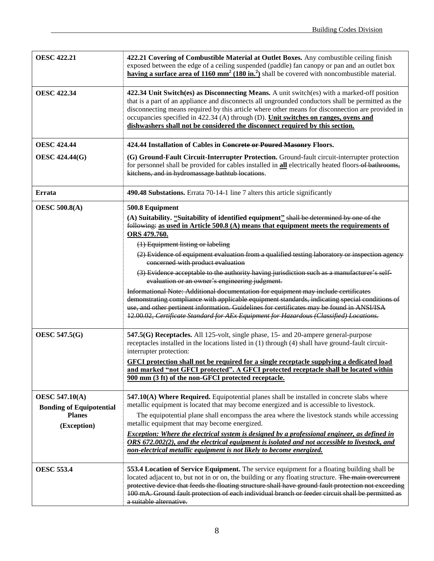| <b>OESC 422.21</b>                                                                       | 422.21 Covering of Combustible Material at Outlet Boxes. Any combustible ceiling finish<br>exposed between the edge of a ceiling suspended (paddle) fan canopy or pan and an outlet box<br><b>having a surface area of 1160 mm<sup>2</sup> (180 in.<sup>2</sup>) shall be covered with noncombustible material.</b>                                                                                                                                                                                                                                                                                                                                                                                                                                                                                                                                                                                                                                                                                                         |
|------------------------------------------------------------------------------------------|-----------------------------------------------------------------------------------------------------------------------------------------------------------------------------------------------------------------------------------------------------------------------------------------------------------------------------------------------------------------------------------------------------------------------------------------------------------------------------------------------------------------------------------------------------------------------------------------------------------------------------------------------------------------------------------------------------------------------------------------------------------------------------------------------------------------------------------------------------------------------------------------------------------------------------------------------------------------------------------------------------------------------------|
| <b>OESC 422.34</b>                                                                       | 422.34 Unit Switch(es) as Disconnecting Means. A unit switch(es) with a marked-off position<br>that is a part of an appliance and disconnects all ungrounded conductors shall be permitted as the<br>disconnecting means required by this article where other means for disconnection are provided in<br>occupancies specified in 422.34 (A) through (D). Unit switches on ranges, ovens and<br>dishwashers shall not be considered the disconnect required by this section.                                                                                                                                                                                                                                                                                                                                                                                                                                                                                                                                                |
| <b>OESC 424.44</b>                                                                       | 424.44 Installation of Cables in Concrete or Poured Masonry Floors.                                                                                                                                                                                                                                                                                                                                                                                                                                                                                                                                                                                                                                                                                                                                                                                                                                                                                                                                                         |
| <b>OESC 424.44(G)</b>                                                                    | (G) Ground-Fault Circuit-Interrupter Protection. Ground-fault circuit-interrupter protection<br>for personnel shall be provided for cables installed in <b>all</b> electrically heated floors of bathrooms,<br>kitchens, and in hydromassage bathtub locations.                                                                                                                                                                                                                                                                                                                                                                                                                                                                                                                                                                                                                                                                                                                                                             |
| Errata                                                                                   | 490.48 Substations. Errata 70-14-1 line 7 alters this article significantly                                                                                                                                                                                                                                                                                                                                                                                                                                                                                                                                                                                                                                                                                                                                                                                                                                                                                                                                                 |
| <b>OESC 500.8(A)</b><br><b>OESC 547.5(G)</b>                                             | 500.8 Equipment<br>(A) Suitability. "Suitability of identified equipment" shall be determined by one of the<br>following: as used in Article $500.8$ (A) means that equipment meets the requirements of<br>ORS 479.760.<br>(1) Equipment listing or labeling<br>(2) Evidence of equipment evaluation from a qualified testing laboratory or inspection agency<br>concerned with product evaluation<br>(3) Evidence acceptable to the authority having jurisdiction such as a manufacturer's self-<br>evaluation or an owner's engineering judgment.<br>Informational Note: Additional documentation for equipment may include certificates<br>demonstrating compliance with applicable equipment standards, indicating special conditions of<br>use, and other pertinent information. Guidelines for certificates may be found in ANSI/ISA<br>12.00.02, Certificate Standard for AEx Equipment for Hazardous (Classified) Locations.<br>547.5(G) Receptacles. All 125-volt, single phase, 15- and 20-ampere general-purpose |
|                                                                                          | receptacles installed in the locations listed in (1) through (4) shall have ground-fault circuit-<br>interrupter protection:<br>GFCI protection shall not be required for a single receptacle supplying a dedicated load<br>and marked "not GFCI protected". A GFCI protected receptacle shall be located within<br>900 mm (3 ft) of the non-GFCI protected receptacle.                                                                                                                                                                                                                                                                                                                                                                                                                                                                                                                                                                                                                                                     |
| <b>OESC 547.10(A)</b><br><b>Bonding of Equipotential</b><br><b>Planes</b><br>(Exception) | 547.10(A) Where Required. Equipotential planes shall be installed in concrete slabs where<br>metallic equipment is located that may become energized and is accessible to livestock.<br>The equipotential plane shall encompass the area where the livestock stands while accessing<br>metallic equipment that may become energized.<br>Exception: Where the electrical system is designed by a professional engineer, as defined in<br>ORS 672.002(2), and the electrical equipment is isolated and not accessible to livestock, and                                                                                                                                                                                                                                                                                                                                                                                                                                                                                       |
|                                                                                          | non-electrical metallic equipment is not likely to become energized.                                                                                                                                                                                                                                                                                                                                                                                                                                                                                                                                                                                                                                                                                                                                                                                                                                                                                                                                                        |
| <b>OESC 553.4</b>                                                                        | 553.4 Location of Service Equipment. The service equipment for a floating building shall be<br>located adjacent to, but not in or on, the building or any floating structure. The main overcurrent<br>protective device that feeds the floating structure shall have ground fault protection not exceeding<br>100 mA. Ground fault protection of each individual branch or feeder circuit shall be permitted as<br>a suitable alternative.                                                                                                                                                                                                                                                                                                                                                                                                                                                                                                                                                                                  |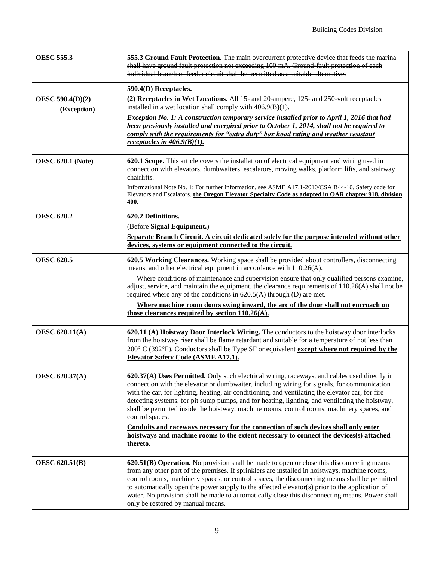| <b>OESC 555.3</b>                      | 555.3 Ground Fault Protection. The main overcurrent protective device that feeds the marina<br>shall have ground fault protection not exceeding 100 mA. Ground fault protection of each<br>individual branch or feeder circuit shall be permitted as a suitable alternative.                                                                                                                                                                                                                                                                                                                                                                                                                                       |
|----------------------------------------|--------------------------------------------------------------------------------------------------------------------------------------------------------------------------------------------------------------------------------------------------------------------------------------------------------------------------------------------------------------------------------------------------------------------------------------------------------------------------------------------------------------------------------------------------------------------------------------------------------------------------------------------------------------------------------------------------------------------|
| <b>OESC 590.4(D)(2)</b><br>(Exception) | 590.4(D) Receptacles.<br>(2) Receptacles in Wet Locations. All 15- and 20-ampere, 125- and 250-volt receptacles<br>installed in a wet location shall comply with $406.9(B)(1)$ .<br>Exception No. 1: A construction temporary service installed prior to April 1, 2016 that had<br>been previously installed and energized prior to October 1, 2014, shall not be required to<br>comply with the requirements for "extra duty" box hood rating and weather resistant<br>receptacles in $406.9(B)(1)$ .                                                                                                                                                                                                             |
| <b>OESC 620.1 (Note)</b>               | 620.1 Scope. This article covers the installation of electrical equipment and wiring used in<br>connection with elevators, dumbwaiters, escalators, moving walks, platform lifts, and stairway<br>chairlifts.<br>Informational Note No. 1: For further information, see ASME A17.1 2010/CSA B44 10, Safety code for<br>Elevators and Escalators, the Oregon Elevator Specialty Code as adopted in OAR chapter 918, division<br>400.                                                                                                                                                                                                                                                                                |
| <b>OESC 620.2</b>                      | 620.2 Definitions.<br>(Before Signal Equipment.)<br>Separate Branch Circuit. A circuit dedicated solely for the purpose intended without other<br>devices, systems or equipment connected to the circuit.                                                                                                                                                                                                                                                                                                                                                                                                                                                                                                          |
| <b>OESC 620.5</b>                      | 620.5 Working Clearances. Working space shall be provided about controllers, disconnecting<br>means, and other electrical equipment in accordance with 110.26(A).<br>Where conditions of maintenance and supervision ensure that only qualified persons examine,<br>adjust, service, and maintain the equipment, the clearance requirements of $110.26(A)$ shall not be<br>required where any of the conditions in $620.5(A)$ through (D) are met.<br>Where machine room doors swing inward, the arc of the door shall not encroach on<br>those clearances required by section 110.26(A).                                                                                                                          |
| <b>OESC 620.11(A)</b>                  | 620.11 (A) Hoistway Door Interlock Wiring. The conductors to the hoistway door interlocks<br>from the hoistway riser shall be flame retardant and suitable for a temperature of not less than<br>200° C (392°F). Conductors shall be Type SF or equivalent except where not required by the<br>Elevator Safety Code (ASME A17.1).                                                                                                                                                                                                                                                                                                                                                                                  |
| <b>OESC 620.37(A)</b>                  | 620.37(A) Uses Permitted. Only such electrical wiring, raceways, and cables used directly in<br>connection with the elevator or dumbwaiter, including wiring for signals, for communication<br>with the car, for lighting, heating, air conditioning, and ventilating the elevator car, for fire<br>detecting systems, for pit sump pumps, and for heating, lighting, and ventilating the hoistway,<br>shall be permitted inside the hoistway, machine rooms, control rooms, machinery spaces, and<br>control spaces.<br>Conduits and raceways necessary for the connection of such devices shall only enter<br>hoistways and machine rooms to the extent necessary to connect the devices(s) attached<br>thereto. |
| <b>OESC 620.51(B)</b>                  | <b>620.51(B) Operation.</b> No provision shall be made to open or close this disconnecting means<br>from any other part of the premises. If sprinklers are installed in hoistways, machine rooms,<br>control rooms, machinery spaces, or control spaces, the disconnecting means shall be permitted<br>to automatically open the power supply to the affected elevator(s) prior to the application of<br>water. No provision shall be made to automatically close this disconnecting means. Power shall<br>only be restored by manual means.                                                                                                                                                                       |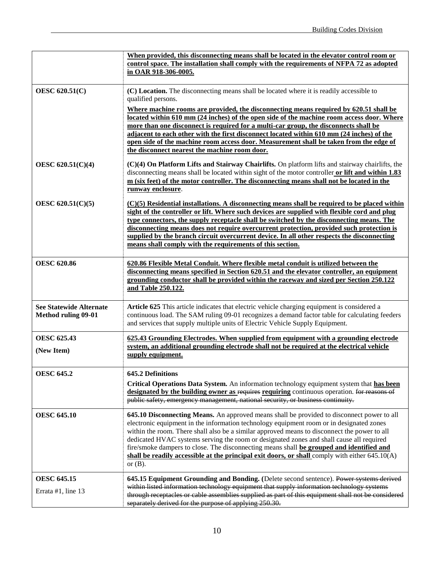|                                                              | When provided, this disconnecting means shall be located in the elevator control room or                                                                                                                                                                                                                                                                                                                                                                                                                                                                                                         |
|--------------------------------------------------------------|--------------------------------------------------------------------------------------------------------------------------------------------------------------------------------------------------------------------------------------------------------------------------------------------------------------------------------------------------------------------------------------------------------------------------------------------------------------------------------------------------------------------------------------------------------------------------------------------------|
|                                                              | control space. The installation shall comply with the requirements of NFPA 72 as adopted                                                                                                                                                                                                                                                                                                                                                                                                                                                                                                         |
|                                                              | in OAR 918-306-0005.                                                                                                                                                                                                                                                                                                                                                                                                                                                                                                                                                                             |
|                                                              |                                                                                                                                                                                                                                                                                                                                                                                                                                                                                                                                                                                                  |
| <b>OESC 620.51(C)</b>                                        | (C) Location. The disconnecting means shall be located where it is readily accessible to<br>qualified persons.                                                                                                                                                                                                                                                                                                                                                                                                                                                                                   |
|                                                              | Where machine rooms are provided, the disconnecting means required by 620.51 shall be<br>located within 610 mm (24 inches) of the open side of the machine room access door. Where                                                                                                                                                                                                                                                                                                                                                                                                               |
|                                                              | more than one disconnect is required for a multi-car group, the disconnects shall be                                                                                                                                                                                                                                                                                                                                                                                                                                                                                                             |
|                                                              | adjacent to each other with the first disconnect located within 610 mm (24 inches) of the<br>open side of the machine room access door. Measurement shall be taken from the edge of                                                                                                                                                                                                                                                                                                                                                                                                              |
|                                                              | the disconnect nearest the machine room door.                                                                                                                                                                                                                                                                                                                                                                                                                                                                                                                                                    |
| OESC 620.51(C)(4)                                            | (C)(4) On Platform Lifts and Stairway Chairlifts. On platform lifts and stairway chairlifts, the<br>disconnecting means shall be located within sight of the motor controller or lift and within 1.83<br>m (six feet) of the motor controller. The disconnecting means shall not be located in the<br>runway enclosure.                                                                                                                                                                                                                                                                          |
| OESC 620.51(C)(5)                                            | $(C)(5)$ Residential installations. A disconnecting means shall be required to be placed within<br>sight of the controller or lift. Where such devices are supplied with flexible cord and plug<br>type connectors, the supply receptacle shall be switched by the disconnecting means. The                                                                                                                                                                                                                                                                                                      |
|                                                              | disconnecting means does not require overcurrent protection, provided such protection is                                                                                                                                                                                                                                                                                                                                                                                                                                                                                                         |
|                                                              | supplied by the branch circuit overcurrent device. In all other respects the disconnecting                                                                                                                                                                                                                                                                                                                                                                                                                                                                                                       |
|                                                              | means shall comply with the requirements of this section.                                                                                                                                                                                                                                                                                                                                                                                                                                                                                                                                        |
| <b>OESC 620.86</b>                                           | 620.86 Flexible Metal Conduit. Where flexible metal conduit is utilized between the<br>disconnecting means specified in Section 620.51 and the elevator controller, an equipment                                                                                                                                                                                                                                                                                                                                                                                                                 |
|                                                              | grounding conductor shall be provided within the raceway and sized per Section 250.122                                                                                                                                                                                                                                                                                                                                                                                                                                                                                                           |
|                                                              | and Table 250.122.                                                                                                                                                                                                                                                                                                                                                                                                                                                                                                                                                                               |
| <b>See Statewide Alternate</b><br><b>Method ruling 09-01</b> | Article 625 This article indicates that electric vehicle charging equipment is considered a<br>continuous load. The SAM ruling 09-01 recognizes a demand factor table for calculating feeders<br>and services that supply multiple units of Electric Vehicle Supply Equipment.                                                                                                                                                                                                                                                                                                                   |
| <b>OESC 625.43</b>                                           | 625.43 Grounding Electrodes. When supplied from equipment with a grounding electrode                                                                                                                                                                                                                                                                                                                                                                                                                                                                                                             |
| (New Item)                                                   | system, an additional grounding electrode shall not be required at the electrical vehicle<br>supply equipment.                                                                                                                                                                                                                                                                                                                                                                                                                                                                                   |
| <b>OESC 645.2</b>                                            | <b>645.2 Definitions</b>                                                                                                                                                                                                                                                                                                                                                                                                                                                                                                                                                                         |
|                                                              | Critical Operations Data System. An information technology equipment system that has been<br>designated by the building owner as requires requiring continuous operation. for reasons of<br>public safety, emergency management, national security, or business continuity.                                                                                                                                                                                                                                                                                                                      |
| <b>OESC 645.10</b>                                           | 645.10 Disconnecting Means. An approved means shall be provided to disconnect power to all<br>electronic equipment in the information technology equipment room or in designated zones<br>within the room. There shall also be a similar approved means to disconnect the power to all<br>dedicated HVAC systems serving the room or designated zones and shall cause all required<br>fire/smoke dampers to close. The disconnecting means shall be grouped and identified and<br>shall be readily accessible at the principal exit doors, or shall comply with either $645.10(A)$<br>or $(B)$ . |
| <b>OESC 645.15</b>                                           | 645.15 Equipment Grounding and Bonding. (Delete second sentence). Power systems derived                                                                                                                                                                                                                                                                                                                                                                                                                                                                                                          |
| Errata #1, line 13                                           | within listed information technology equipment that supply information technology systems<br>through receptacles or cable assemblies supplied as part of this equipment shall not be considered<br>separately derived for the purpose of applying 250.30.                                                                                                                                                                                                                                                                                                                                        |
|                                                              |                                                                                                                                                                                                                                                                                                                                                                                                                                                                                                                                                                                                  |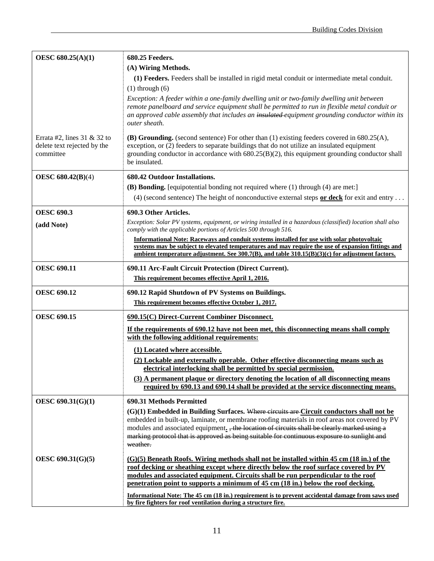| OESC 680.25(A)(1)                                                          | 680.25 Feeders.                                                                                                                                                                                                                                                                                                                                            |
|----------------------------------------------------------------------------|------------------------------------------------------------------------------------------------------------------------------------------------------------------------------------------------------------------------------------------------------------------------------------------------------------------------------------------------------------|
|                                                                            | (A) Wiring Methods.                                                                                                                                                                                                                                                                                                                                        |
|                                                                            | (1) Feeders. Feeders shall be installed in rigid metal conduit or intermediate metal conduit.                                                                                                                                                                                                                                                              |
|                                                                            | $(1)$ through $(6)$                                                                                                                                                                                                                                                                                                                                        |
|                                                                            | Exception: A feeder within a one-family dwelling unit or two-family dwelling unit between<br>remote panelboard and service equipment shall be permitted to run in flexible metal conduit or<br>an approved cable assembly that includes an insulated equipment grounding conductor within its<br>outer sheath.                                             |
| Errata #2, lines $31 \& 32$ to<br>delete text rejected by the<br>committee | (B) Grounding. (second sentence) For other than $(1)$ existing feeders covered in 680.25(A),<br>exception, or (2) feeders to separate buildings that do not utilize an insulated equipment<br>grounding conductor in accordance with $680.25(B)(2)$ , this equipment grounding conductor shall<br>be insulated.                                            |
| <b>OESC 680.42(B)(4)</b>                                                   | 680.42 Outdoor Installations.                                                                                                                                                                                                                                                                                                                              |
|                                                                            | (B) Bonding. [equipotential bonding not required where (1) through (4) are met:]                                                                                                                                                                                                                                                                           |
|                                                                            | (4) (second sentence) The height of nonconductive external steps or deck for exit and entry                                                                                                                                                                                                                                                                |
| <b>OESC 690.3</b>                                                          | 690.3 Other Articles.                                                                                                                                                                                                                                                                                                                                      |
| (add Note)                                                                 | Exception: Solar PV systems, equipment, or wiring installed in a hazardous (classified) location shall also<br>comply with the applicable portions of Articles 500 through 516.                                                                                                                                                                            |
|                                                                            | <b>Informational Note: Raceways and conduit systems installed for use with solar photovoltaic</b><br>systems may be subject to elevated temperatures and may require the use of expansion fittings and<br>ambient temperature adjustment. See $300.7(B)$ , and table $310.15(B)(3)(c)$ for adjustment factors.                                             |
| <b>OESC 690.11</b>                                                         | 690.11 Arc-Fault Circuit Protection (Direct Current).                                                                                                                                                                                                                                                                                                      |
|                                                                            | This requirement becomes effective April 1, 2016.                                                                                                                                                                                                                                                                                                          |
| <b>OESC 690.12</b>                                                         | 690.12 Rapid Shutdown of PV Systems on Buildings.                                                                                                                                                                                                                                                                                                          |
|                                                                            | This requirement becomes effective October 1, 2017.                                                                                                                                                                                                                                                                                                        |
| <b>OESC 690.15</b>                                                         | 690.15(C) Direct-Current Combiner Disconnect.                                                                                                                                                                                                                                                                                                              |
|                                                                            | If the requirements of 690.12 have not been met, this disconnecting means shall comply<br>with the following additional requirements:                                                                                                                                                                                                                      |
|                                                                            | (1) Located where accessible.                                                                                                                                                                                                                                                                                                                              |
|                                                                            | (2) Lockable and externally operable. Other effective disconnecting means such as<br>electrical interlocking shall be permitted by special permission.                                                                                                                                                                                                     |
|                                                                            | (3) A permanent plaque or directory denoting the location of all disconnecting means<br>required by 690.13 and 690.14 shall be provided at the service disconnecting means.                                                                                                                                                                                |
| OESC 690.31(G)(1)                                                          | 690.31 Methods Permitted                                                                                                                                                                                                                                                                                                                                   |
|                                                                            | (G)(1) Embedded in Building Surfaces. Where circuits are Circuit conductors shall not be                                                                                                                                                                                                                                                                   |
|                                                                            | embedded in built-up, laminate, or membrane roofing materials in roof areas not covered by PV<br>modules and associated equipment. the location of circuits shall be clearly marked using a<br>marking protocol that is approved as being suitable for continuous exposure to sunlight and<br>weather.                                                     |
| OESC 690.31(G)(5)                                                          | (G)(5) Beneath Roofs. Wiring methods shall not be installed within 45 cm (18 in.) of the<br>roof decking or sheathing except where directly below the roof surface covered by PV<br>modules and associated equipment. Circuits shall be run perpendicular to the roof<br>penetration point to supports a minimum of 45 cm (18 in.) below the roof decking. |
|                                                                            | Informational Note: The 45 cm (18 in.) requirement is to prevent accidental damage from saws used<br>by fire fighters for roof ventilation during a structure fire.                                                                                                                                                                                        |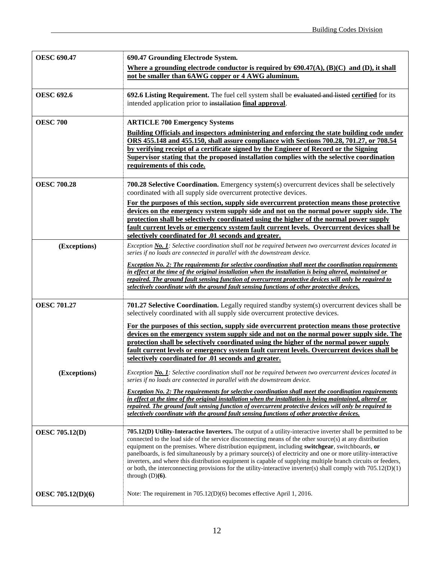| <b>OESC 690.47</b>    | 690.47 Grounding Electrode System.                                                                                                                                                                                                                                                                                                                                                                                                                                                                                                                                                                                                                                                                     |
|-----------------------|--------------------------------------------------------------------------------------------------------------------------------------------------------------------------------------------------------------------------------------------------------------------------------------------------------------------------------------------------------------------------------------------------------------------------------------------------------------------------------------------------------------------------------------------------------------------------------------------------------------------------------------------------------------------------------------------------------|
|                       | Where a grounding electrode conductor is required by $690.47(A)$ , $(B)(C)$ and $(D)$ , it shall<br>not be smaller than 6AWG copper or 4 AWG aluminum.                                                                                                                                                                                                                                                                                                                                                                                                                                                                                                                                                 |
| <b>OESC 692.6</b>     | 692.6 Listing Requirement. The fuel cell system shall be evaluated and listed certified for its<br>intended application prior to installation final approval.                                                                                                                                                                                                                                                                                                                                                                                                                                                                                                                                          |
| <b>OESC 700</b>       | <b>ARTICLE 700 Emergency Systems</b><br>Building Officials and inspectors administering and enforcing the state building code under<br>ORS 455.148 and 455.150, shall assure compliance with Sections 700.28, 701.27, or 708.54<br>by verifying receipt of a certificate signed by the Engineer of Record or the Signing<br>Supervisor stating that the proposed installation complies with the selective coordination<br>requirements of this code.                                                                                                                                                                                                                                                   |
| <b>OESC 700.28</b>    | <b>700.28 Selective Coordination.</b> Emergency system(s) overcurrent devices shall be selectively<br>coordinated with all supply side overcurrent protective devices.<br>For the purposes of this section, supply side overcurrent protection means those protective<br>devices on the emergency system supply side and not on the normal power supply side. The<br>protection shall be selectively coordinated using the higher of the normal power supply<br><u>fault current levels or emergency system fault current levels. Overcurrent devices shall be</u><br>selectively coordinated for .01 seconds and greater.                                                                             |
| (Exceptions)          | Exception No. 1: Selective coordination shall not be required between two overcurrent devices located in<br>series if no loads are connected in parallel with the downstream device.<br><b>Exception No. 2: The requirements for selective coordination shall meet the coordination requirements</b><br>in effect at the time of the original installation when the installation is being altered, maintained or<br>repaired. The ground fault sensing function of overcurrent protective devices will only be required to<br>selectively coordinate with the ground fault sensing functions of other protective devices.                                                                              |
| <b>OESC 701.27</b>    | 701.27 Selective Coordination. Legally required standby system(s) overcurrent devices shall be<br>selectively coordinated with all supply side overcurrent protective devices.<br>For the purposes of this section, supply side overcurrent protection means those protective<br>devices on the emergency system supply side and not on the normal power supply side. The<br>protection shall be selectively coordinated using the higher of the normal power supply<br>fault current levels or emergency system fault current levels. Overcurrent devices shall be<br>selectively coordinated for .01 seconds and greater.                                                                            |
| (Exceptions)          | Exception No. 1: Selective coordination shall not be required between two overcurrent devices located in<br>series if no loads are connected in parallel with the downstream device.<br><b>Exception No. 2: The requirements for selective coordination shall meet the coordination requirements</b><br>in effect at the time of the original installation when the installation is being maintained, altered or<br>repaired. The ground fault sensing function of overcurrent protective devices will only be required to<br>selectively coordinate with the ground fault sensing functions of other protective devices.                                                                              |
| <b>OESC 705.12(D)</b> | 705.12(D) Utility-Interactive Inverters. The output of a utility-interactive inverter shall be permitted to be<br>connected to the load side of the service disconnecting means of the other source(s) at any distribution<br>equipment on the premises. Where distribution equipment, including switchgear, switchboards, or<br>panelboards, is fed simultaneously by a primary source(s) of electricity and one or more utility-interactive<br>inverters, and where this distribution equipment is capable of supplying multiple branch circuits or feeders,<br>or both, the interconnecting provisions for the utility-interactive inverter(s) shall comply with 705.12(D)(1)<br>through $(D)(6)$ . |
| OESC 705.12(D)(6)     | Note: The requirement in $705.12(D)(6)$ becomes effective April 1, 2016.                                                                                                                                                                                                                                                                                                                                                                                                                                                                                                                                                                                                                               |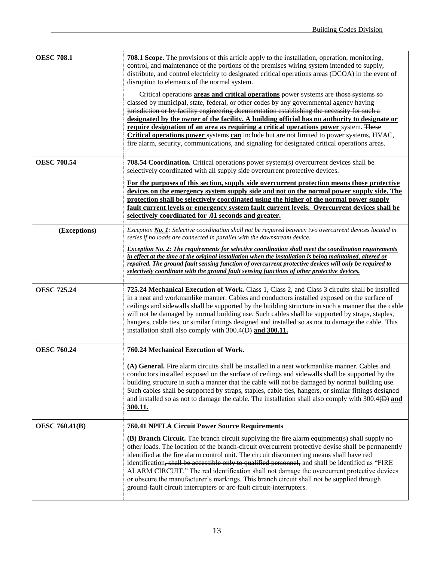| <b>OESC 708.1</b>     | <b>708.1 Scope.</b> The provisions of this article apply to the installation, operation, monitoring,<br>control, and maintenance of the portions of the premises wiring system intended to supply,<br>distribute, and control electricity to designated critical operations areas (DCOA) in the event of<br>disruption to elements of the normal system.<br>Critical operations <b>areas and critical operations</b> power systems are those systems so<br>classed by municipal, state, federal, or other codes by any governmental agency having<br>jurisdiction or by facility engineering documentation establishing the necessity for such a<br>designated by the owner of the facility. A building official has no authority to designate or<br>require designation of an area as requiring a critical operations power system. These<br><b>Critical operations power</b> systems <b>can</b> include but are not limited to power systems, HVAC,<br>fire alarm, security, communications, and signaling for designated critical operations areas. |
|-----------------------|--------------------------------------------------------------------------------------------------------------------------------------------------------------------------------------------------------------------------------------------------------------------------------------------------------------------------------------------------------------------------------------------------------------------------------------------------------------------------------------------------------------------------------------------------------------------------------------------------------------------------------------------------------------------------------------------------------------------------------------------------------------------------------------------------------------------------------------------------------------------------------------------------------------------------------------------------------------------------------------------------------------------------------------------------------|
| <b>OESC 708.54</b>    | 708.54 Coordination. Critical operations power system(s) overcurrent devices shall be<br>selectively coordinated with all supply side overcurrent protective devices.<br>For the purposes of this section, supply side overcurrent protection means those protective<br>devices on the emergency system supply side and not on the normal power supply side. The<br>protection shall be selectively coordinated using the higher of the normal power supply<br>fault current levels or emergency system fault current levels. Overcurrent devices shall be<br>selectively coordinated for .01 seconds and greater.                                                                                                                                                                                                                                                                                                                                                                                                                                     |
| (Exceptions)          | Exception No. 1: Selective coordination shall not be required between two overcurrent devices located in<br>series if no loads are connected in parallel with the downstream device.<br><b>Exception No. 2: The requirements for selective coordination shall meet the coordination requirements</b><br>in effect at the time of the original installation when the installation is being maintained, altered or<br>repaired. The ground fault sensing function of overcurrent protective devices will only be required to<br>selectively coordinate with the ground fault sensing functions of other protective devices.                                                                                                                                                                                                                                                                                                                                                                                                                              |
| <b>OESC 725.24</b>    | 725.24 Mechanical Execution of Work. Class 1, Class 2, and Class 3 circuits shall be installed<br>in a neat and workmanlike manner. Cables and conductors installed exposed on the surface of<br>ceilings and sidewalls shall be supported by the building structure in such a manner that the cable<br>will not be damaged by normal building use. Such cables shall be supported by straps, staples,<br>hangers, cable ties, or similar fittings designed and installed so as not to damage the cable. This<br>installation shall also comply with 300.4(D) and 300.11.                                                                                                                                                                                                                                                                                                                                                                                                                                                                              |
| <b>OESC 760.24</b>    | 760.24 Mechanical Execution of Work.                                                                                                                                                                                                                                                                                                                                                                                                                                                                                                                                                                                                                                                                                                                                                                                                                                                                                                                                                                                                                   |
|                       | (A) General. Fire alarm circuits shall be installed in a neat workmanlike manner. Cables and<br>conductors installed exposed on the surface of ceilings and sidewalls shall be supported by the<br>building structure in such a manner that the cable will not be damaged by normal building use.<br>Such cables shall be supported by straps, staples, cable ties, hangers, or similar fittings designed<br>and installed so as not to damage the cable. The installation shall also comply with $300.4(B)$ and<br><u>300.11.</u>                                                                                                                                                                                                                                                                                                                                                                                                                                                                                                                     |
| <b>OESC 760.41(B)</b> | 760.41 NPFLA Circuit Power Source Requirements                                                                                                                                                                                                                                                                                                                                                                                                                                                                                                                                                                                                                                                                                                                                                                                                                                                                                                                                                                                                         |
|                       | (B) Branch Circuit. The branch circuit supplying the fire alarm equipment(s) shall supply no<br>other loads. The location of the branch-circuit overcurrent protective devise shall be permanently<br>identified at the fire alarm control unit. The circuit disconnecting means shall have red<br>identification, shall be accessible only to qualified personnel, and shall be identified as "FIRE<br>ALARM CIRCUIT." The red identification shall not damage the overcurrent protective devices<br>or obscure the manufacturer's markings. This branch circuit shall not be supplied through<br>ground-fault circuit interrupters or arc-fault circuit-interrupters.                                                                                                                                                                                                                                                                                                                                                                                |